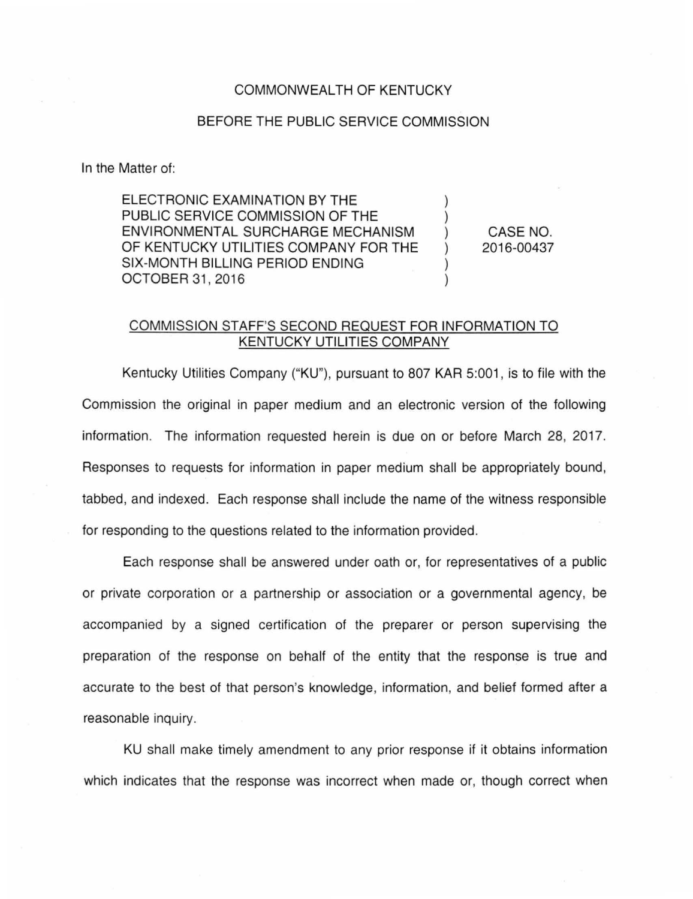## COMMONWEALTH OF KENTUCKY

## BEFORE THE PUBLIC SERVICE COMMISSION

In the Matter of:

ELECTRONIC EXAMINATION BY THE PUBLIC SERVICE COMMISSION OF THE ENVIRONMENTAL SURCHARGE MECHANISM OF KENTUCKY UTILITIES COMPANY FOR THE SIX-MONTH BILLING PERIOD ENDING OCTOBER 31 , 2016

CASE NO. 2016-00437

) ) ) ) ) )

## COMMISSION STAFF'S SECOND REQUEST FOR INFORMATION TO KENTUCKY UTILITIES COMPANY

Kentucky Utilities Company ("KU"), pursuant to 807 KAR 5:001 , is to file with the Commission the original in paper medium and an electronic version of the following information. The information requested herein is due on or before March 28, 2017. Responses to requests for information in paper medium shall be appropriately bound, tabbed, and indexed. Each response shall include the name of the witness responsible for responding to the questions related to the information provided.

Each response shall be answered under oath or, for representatives of a public or private corporation or a partnership or association or a governmental agency, be accompanied by a signed certification of the preparer or person supervising the preparation of the response on behalf of the entity that the response is true and accurate to the best of that person's knowledge, information, and belief formed after a reasonable inquiry.

KU shall make timely amendment to any prior response if it obtains information which indicates that the response was incorrect when made or, though correct when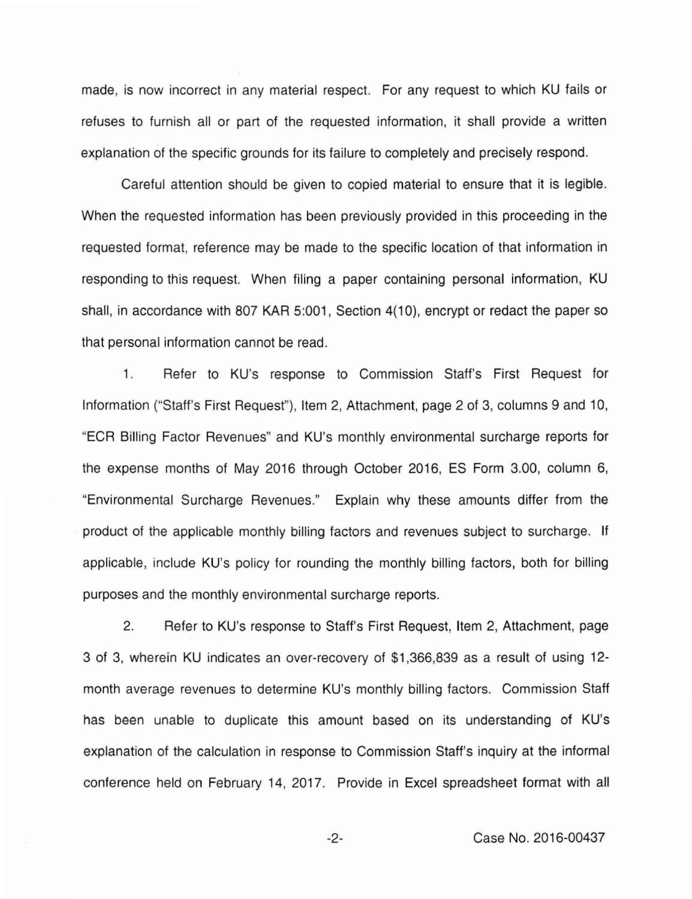made, is now incorrect in any material respect. For any request to which KU fails or refuses to furnish all or part of the requested information, it shall provide a written explanation of the specific grounds for its failure to completely and precisely respond.

Careful attention should be given to copied material to ensure that it is legible. When the requested information has been previously provided in this proceeding in the requested format, reference may be made to the specific location of that information in responding to this request. When filing a paper containing personal information, KU shall, in accordance with 807 KAR 5:001, Section 4(10), encrypt or redact the paper so that personal information cannot be read.

1. Refer to KU's response to Commission Staff's First Request for Information ("Staff's First Request"), Item 2, Attachment, page 2 of 3, columns 9 and 10, "ECR Billing Factor Revenues" and KU's monthly environmental surcharge reports for the expense months of May 2016 through October 2016, ES Form 3.00, column 6, "Environmental Surcharge Revenues." Explain why these amounts differ from the product of the applicable monthly billing factors and revenues subject to surcharge. If applicable, include KU's policy for rounding the monthly billing factors, both for billing purposes and the monthly environmental surcharge reports.

2. Refer to KU's response to Staff's First Request, Item 2, Attachment, page 3 of 3, wherein KU indicates an over-recovery of \$1,366,839 as a result of using 12 month average revenues to determine KU's monthly billing factors. Commission Staff has been unable to duplicate this amount based on its understanding of KU's explanation of the calculation in response to Commission Staff's inquiry at the informal conference held on February 14, 2017. Provide in Excel spreadsheet format with all

-2- Case No. 2016-00437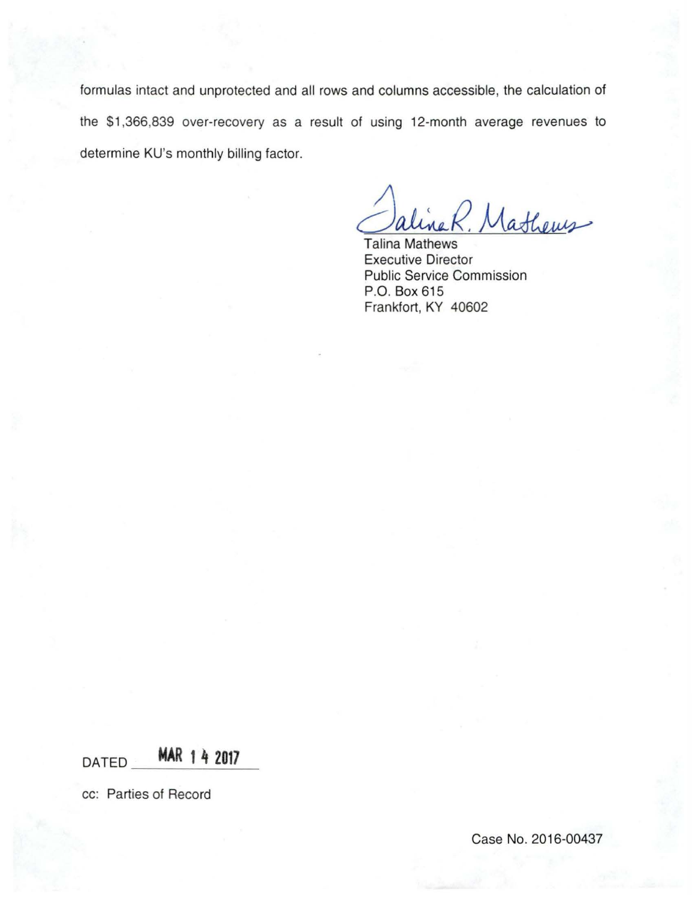formulas intact and unprotected and all rows and columns accessible, the calculation of the \$1 ,366,839 over-recovery as a result of using 12-month average revenues to determine KU's monthly billing factor.

Jaline R. Mathews

Executive Director Public Service Commission P.O. Box 615 Frankfort, KY 40602

DATED **MAR 1 4 2017** 

cc: Parties of Record

Case No. 2016-00437